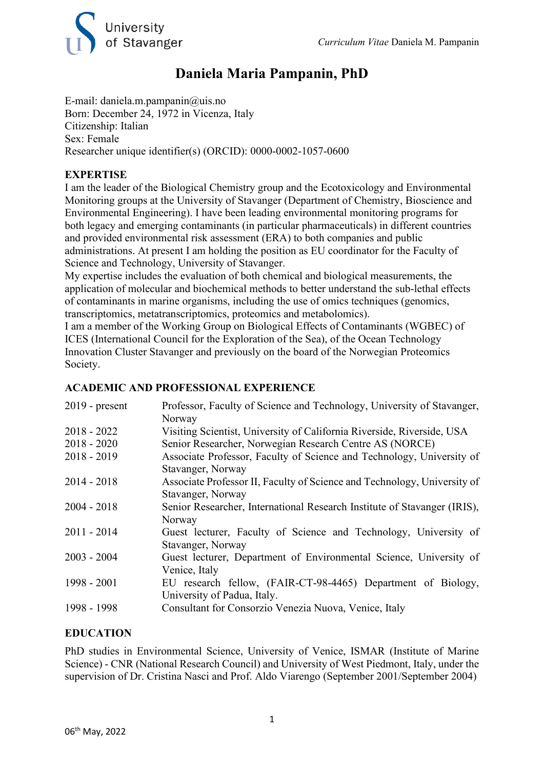

### **Daniela Maria Pampanin, PhD**

E-mail: daniela.m.pampanin@uis.no Born: December 24, 1972 in Vicenza, Italy Citizenship: Italian Sex: Female Researcher unique identifier(s) (ORCID): 0000-0002-1057-0600

#### **EXPERTISE**

I am the leader of the Biological Chemistry group and the Ecotoxicology and Environmental Monitoring groups at the University of Stavanger (Department of Chemistry, Bioscience and Environmental Engineering). I have been leading environmental monitoring programs for both legacy and emerging contaminants (in particular pharmaceuticals) in different countries and provided environmental risk assessment (ERA) to both companies and public administrations. At present I am holding the position as EU coordinator for the Faculty of Science and Technology, University of Stavanger.

My expertise includes the evaluation of both chemical and biological measurements, the application of molecular and biochemical methods to better understand the sub-lethal effects of contaminants in marine organisms, including the use of omics techniques (genomics, transcriptomics, metatranscriptomics, proteomics and metabolomics).

I am a member of the Working Group on Biological Effects of Contaminants (WGBEC) of ICES (International Council for the Exploration of the Sea), of the Ocean Technology Innovation Cluster Stavanger and previously on the board of the Norwegian Proteomics Society.

#### **ACADEMIC AND PROFESSIONAL EXPERIENCE**

| $2019$ - present | Professor, Faculty of Science and Technology, University of Stavanger,<br>Norway |
|------------------|----------------------------------------------------------------------------------|
| $2018 - 2022$    | Visiting Scientist, University of California Riverside, Riverside, USA           |
| $2018 - 2020$    | Senior Researcher, Norwegian Research Centre AS (NORCE)                          |
| $2018 - 2019$    | Associate Professor, Faculty of Science and Technology, University of            |
|                  | Stavanger, Norway                                                                |
| $2014 - 2018$    | Associate Professor II, Faculty of Science and Technology, University of         |
|                  | Stavanger, Norway                                                                |
| $2004 - 2018$    | Senior Researcher, International Research Institute of Stavanger (IRIS),         |
|                  | Norway                                                                           |
| $2011 - 2014$    | Guest lecturer, Faculty of Science and Technology, University of                 |
|                  | Stavanger, Norway                                                                |
| $2003 - 2004$    | Guest lecturer, Department of Environmental Science, University of               |
|                  | Venice, Italy                                                                    |
| 1998 - 2001      | EU research fellow, (FAIR-CT-98-4465) Department of Biology,                     |
|                  | University of Padua, Italy.                                                      |
| 1998 - 1998      | Consultant for Consorzio Venezia Nuova, Venice, Italy                            |
|                  |                                                                                  |

#### **EDUCATION**

PhD studies in Environmental Science, University of Venice, ISMAR (Institute of Marine Science) - CNR (National Research Council) and University of West Piedmont, Italy, under the supervision of Dr. Cristina Nasci and Prof. Aldo Viarengo (September 2001/September 2004)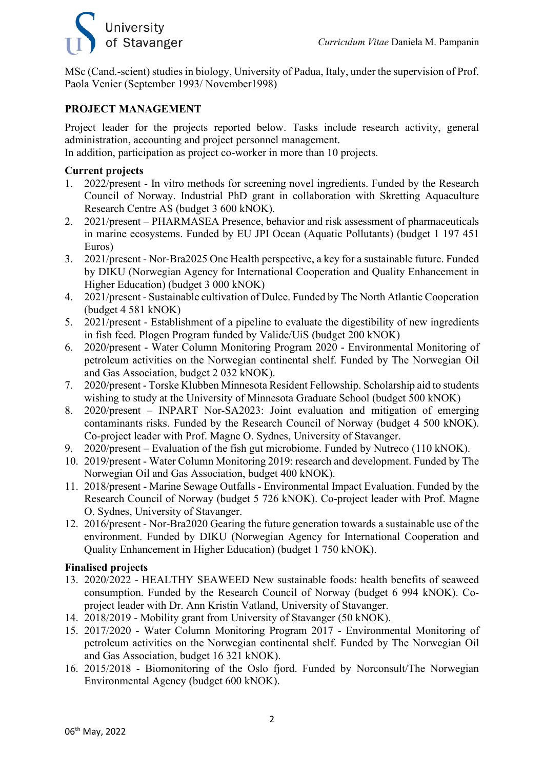## University of Stavanger

MSc (Cand.-scient) studies in biology, University of Padua, Italy, under the supervision of Prof. Paola Venier (September 1993/ November1998)

#### **PROJECT MANAGEMENT**

Project leader for the projects reported below. Tasks include research activity, general administration, accounting and project personnel management.

In addition, participation as project co-worker in more than 10 projects.

#### **Current projects**

- 1. 2022/present In vitro methods for screening novel ingredients. Funded by the Research Council of Norway. Industrial PhD grant in collaboration with Skretting Aquaculture Research Centre AS (budget 3 600 kNOK).
- 2. 2021/present PHARMASEA Presence, behavior and risk assessment of pharmaceuticals in marine ecosystems. Funded by EU JPI Ocean (Aquatic Pollutants) (budget 1 197 451 Euros)
- 3. 2021/present Nor-Bra2025 One Health perspective, a key for a sustainable future. Funded by DIKU (Norwegian Agency for International Cooperation and Quality Enhancement in Higher Education) (budget 3 000 kNOK)
- 4. 2021/present Sustainable cultivation of Dulce. Funded by The North Atlantic Cooperation (budget 4 581 kNOK)
- 5. 2021/present Establishment of a pipeline to evaluate the digestibility of new ingredients in fish feed. Plogen Program funded by Valide/UiS (budget 200 kNOK)
- 6. 2020/present Water Column Monitoring Program 2020 Environmental Monitoring of petroleum activities on the Norwegian continental shelf. Funded by The Norwegian Oil and Gas Association, budget 2 032 kNOK).
- 7. 2020/present Torske Klubben Minnesota Resident Fellowship. Scholarship aid to students wishing to study at the University of Minnesota Graduate School (budget 500 kNOK)
- 8. 2020/present INPART Nor-SA2023: Joint evaluation and mitigation of emerging contaminants risks. Funded by the Research Council of Norway (budget 4 500 kNOK). Co-project leader with Prof. Magne O. Sydnes, University of Stavanger.
- 9. 2020/present Evaluation of the fish gut microbiome. Funded by Nutreco (110 kNOK).
- 10. 2019/present Water Column Monitoring 2019: research and development. Funded by The Norwegian Oil and Gas Association, budget 400 kNOK).
- 11. 2018/present Marine Sewage Outfalls Environmental Impact Evaluation. Funded by the Research Council of Norway (budget 5 726 kNOK). Co-project leader with Prof. Magne O. Sydnes, University of Stavanger.
- 12. 2016/present Nor-Bra2020 Gearing the future generation towards a sustainable use of the environment. Funded by DIKU (Norwegian Agency for International Cooperation and Quality Enhancement in Higher Education) (budget 1 750 kNOK).

#### **Finalised projects**

- 13. 2020/2022 HEALTHY SEAWEED New sustainable foods: health benefits of seaweed consumption. Funded by the Research Council of Norway (budget 6 994 kNOK). Coproject leader with Dr. Ann Kristin Vatland, University of Stavanger.
- 14. 2018/2019 Mobility grant from University of Stavanger (50 kNOK).
- 15. 2017/2020 Water Column Monitoring Program 2017 Environmental Monitoring of petroleum activities on the Norwegian continental shelf. Funded by The Norwegian Oil and Gas Association, budget 16 321 kNOK).
- 16. 2015/2018 Biomonitoring of the Oslo fjord. Funded by Norconsult/The Norwegian Environmental Agency (budget 600 kNOK).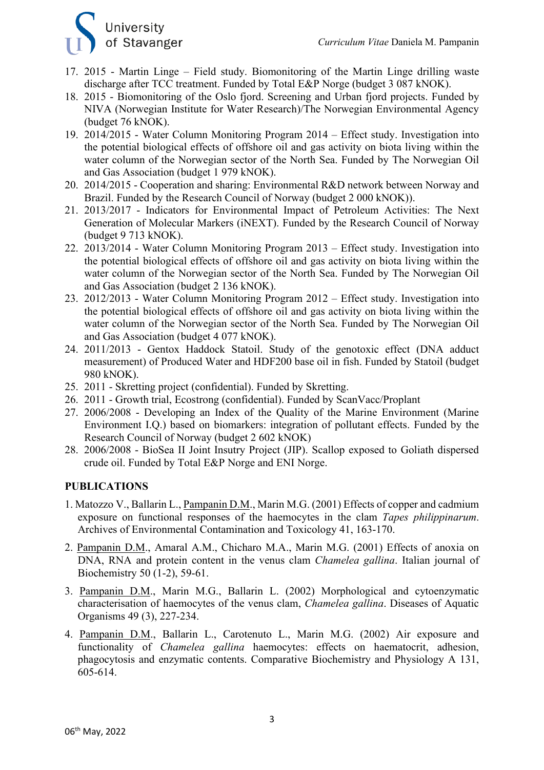

- 17. 2015 Martin Linge Field study. Biomonitoring of the Martin Linge drilling waste discharge after TCC treatment. Funded by Total E&P Norge (budget 3 087 kNOK).
- 18. 2015 Biomonitoring of the Oslo fjord. Screening and Urban fjord projects. Funded by NIVA (Norwegian Institute for Water Research)/The Norwegian Environmental Agency (budget 76 kNOK).
- 19. 2014/2015 Water Column Monitoring Program 2014 Effect study. Investigation into the potential biological effects of offshore oil and gas activity on biota living within the water column of the Norwegian sector of the North Sea. Funded by The Norwegian Oil and Gas Association (budget 1 979 kNOK).
- 20. 2014/2015 Cooperation and sharing: Environmental R&D network between Norway and Brazil. Funded by the Research Council of Norway (budget 2 000 kNOK)).
- 21. 2013/2017 Indicators for Environmental Impact of Petroleum Activities: The Next Generation of Molecular Markers (iNEXT). Funded by the Research Council of Norway (budget 9 713 kNOK).
- 22. 2013/2014 Water Column Monitoring Program 2013 Effect study. Investigation into the potential biological effects of offshore oil and gas activity on biota living within the water column of the Norwegian sector of the North Sea. Funded by The Norwegian Oil and Gas Association (budget 2 136 kNOK).
- 23. 2012/2013 Water Column Monitoring Program 2012 Effect study. Investigation into the potential biological effects of offshore oil and gas activity on biota living within the water column of the Norwegian sector of the North Sea. Funded by The Norwegian Oil and Gas Association (budget 4 077 kNOK).
- 24. 2011/2013 Gentox Haddock Statoil. Study of the genotoxic effect (DNA adduct measurement) of Produced Water and HDF200 base oil in fish. Funded by Statoil (budget 980 kNOK).
- 25. 2011 Skretting project (confidential). Funded by Skretting.
- 26. 2011 Growth trial, Ecostrong (confidential). Funded by ScanVacc/Proplant
- 27. 2006/2008 Developing an Index of the Quality of the Marine Environment (Marine Environment I.Q.) based on biomarkers: integration of pollutant effects. Funded by the Research Council of Norway (budget 2 602 kNOK)
- 28. 2006/2008 BioSea II Joint Insutry Project (JIP). Scallop exposed to Goliath dispersed crude oil. Funded by Total E&P Norge and ENI Norge.

#### **PUBLICATIONS**

- 1. Matozzo V., Ballarin L., Pampanin D.M., Marin M.G. (2001) Effects of copper and cadmium exposure on functional responses of the haemocytes in the clam *Tapes philippinarum*. Archives of Environmental Contamination and Toxicology 41, 163-170.
- 2. Pampanin D.M., Amaral A.M., Chicharo M.A., Marin M.G. (2001) Effects of anoxia on DNA, RNA and protein content in the venus clam *Chamelea gallina*. Italian journal of Biochemistry 50 (1-2), 59-61.
- 3. Pampanin D.M., Marin M.G., Ballarin L. (2002) Morphological and cytoenzymatic characterisation of haemocytes of the venus clam, *Chamelea gallina*. Diseases of Aquatic Organisms 49 (3), 227-234.
- 4. Pampanin D.M., Ballarin L., Carotenuto L., Marin M.G. (2002) Air exposure and functionality of *Chamelea gallina* haemocytes: effects on haematocrit, adhesion, phagocytosis and enzymatic contents. Comparative Biochemistry and Physiology A 131, 605-614.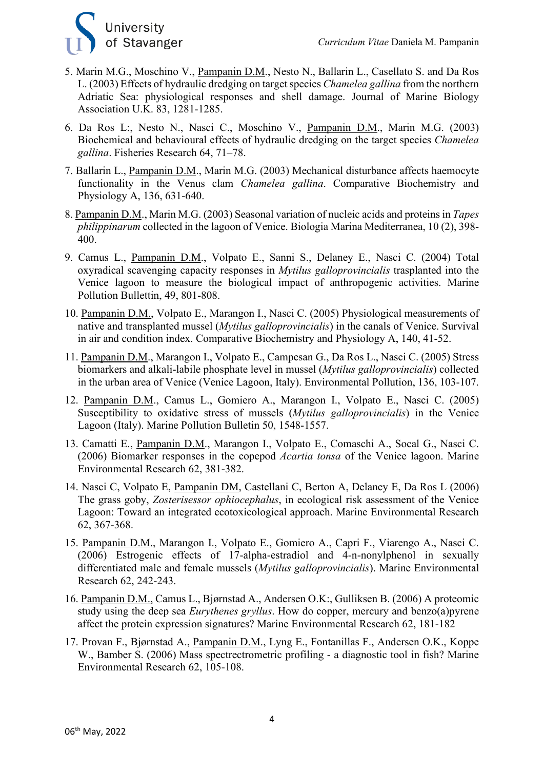

- 5. Marin M.G., Moschino V., Pampanin D.M., Nesto N., Ballarin L., Casellato S. and Da Ros L. (2003) Effects of hydraulic dredging on target species *Chamelea gallina* from the northern Adriatic Sea: physiological responses and shell damage. Journal of Marine Biology Association U.K. 83, 1281-1285.
- 6. Da Ros L:, Nesto N., Nasci C., Moschino V., Pampanin D.M., Marin M.G. (2003) Biochemical and behavioural effects of hydraulic dredging on the target species *Chamelea gallina*. Fisheries Research 64, 71–78.
- 7. Ballarin L., Pampanin D.M., Marin M.G. (2003) Mechanical disturbance affects haemocyte functionality in the Venus clam *Chamelea gallina*. Comparative Biochemistry and Physiology A, 136, 631-640.
- 8. Pampanin D.M., Marin M.G. (2003) Seasonal variation of nucleic acids and proteins in *Tapes philippinarum* collected in the lagoon of Venice. Biologia Marina Mediterranea, 10 (2), 398- 400.
- 9. Camus L., Pampanin D.M., Volpato E., Sanni S., Delaney E., Nasci C. (2004) Total oxyradical scavenging capacity responses in *Mytilus galloprovincialis* trasplanted into the Venice lagoon to measure the biological impact of anthropogenic activities. Marine Pollution Bullettin, 49, 801-808.
- 10. Pampanin D.M., Volpato E., Marangon I., Nasci C. (2005) Physiological measurements of native and transplanted mussel (*Mytilus galloprovincialis*) in the canals of Venice. Survival in air and condition index. Comparative Biochemistry and Physiology A, 140, 41-52.
- 11. Pampanin D.M., Marangon I., Volpato E., Campesan G., Da Ros L., Nasci C. (2005) Stress biomarkers and alkali-labile phosphate level in mussel (*Mytilus galloprovincialis*) collected in the urban area of Venice (Venice Lagoon, Italy). Environmental Pollution, 136, 103-107.
- 12. Pampanin D.M., Camus L., Gomiero A., Marangon I., Volpato E., Nasci C. (2005) Susceptibility to oxidative stress of mussels (*Mytilus galloprovincialis*) in the Venice Lagoon (Italy). Marine Pollution Bulletin 50, 1548-1557.
- 13. Camatti E., Pampanin D.M., Marangon I., Volpato E., Comaschi A., Socal G., Nasci C. (2006) Biomarker responses in the copepod *Acartia tonsa* of the Venice lagoon. Marine Environmental Research 62, 381-382.
- 14. Nasci C, Volpato E, Pampanin DM, Castellani C, Berton A, Delaney E, Da Ros L (2006) The grass goby, *Zosterisessor ophiocephalus*, in ecological risk assessment of the Venice Lagoon: Toward an integrated ecotoxicological approach. Marine Environmental Research 62, 367-368.
- 15. Pampanin D.M., Marangon I., Volpato E., Gomiero A., Capri F., Viarengo A., Nasci C. (2006) Estrogenic effects of 17-alpha-estradiol and 4-n-nonylphenol in sexually differentiated male and female mussels (*Mytilus galloprovincialis*). Marine Environmental Research 62, 242-243.
- 16. Pampanin D.M., Camus L., Bjørnstad A., Andersen O.K:, Gulliksen B. (2006) A proteomic study using the deep sea *Eurythenes gryllus*. How do copper, mercury and benzo(a)pyrene affect the protein expression signatures? Marine Environmental Research 62, 181-182
- 17. Provan F., Bjørnstad A., Pampanin D.M., Lyng E., Fontanillas F., Andersen O.K., Koppe W., Bamber S. (2006) Mass spectrectrometric profiling - a diagnostic tool in fish? Marine Environmental Research 62, 105-108.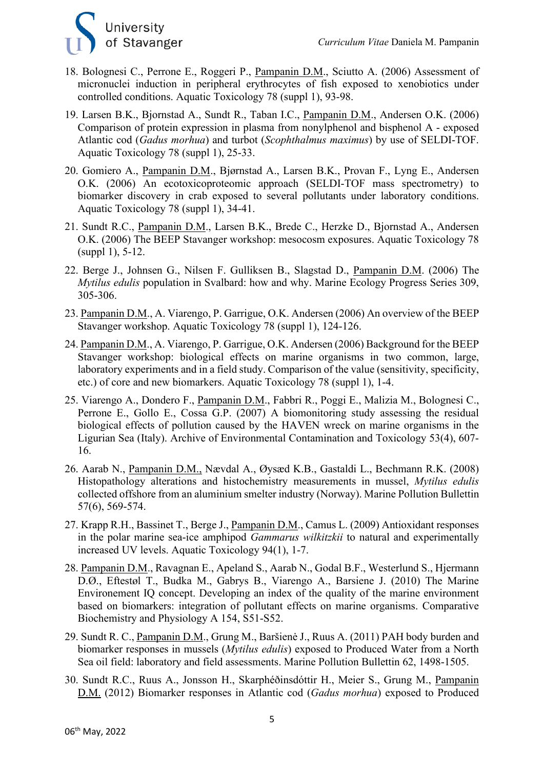

- 18. Bolognesi C., Perrone E., Roggeri P., Pampanin D.M., Sciutto A. (2006) Assessment of micronuclei induction in peripheral erythrocytes of fish exposed to xenobiotics under controlled conditions. Aquatic Toxicology 78 (suppl 1), 93-98.
- 19. Larsen B.K., Bjornstad A., Sundt R., Taban I.C., Pampanin D.M., Andersen O.K. (2006) Comparison of protein expression in plasma from nonylphenol and bisphenol A - exposed Atlantic cod (*Gadus morhua*) and turbot (*Scophthalmus maximus*) by use of SELDI-TOF. Aquatic Toxicology 78 (suppl 1), 25-33.
- 20. Gomiero A., Pampanin D.M., Bjørnstad A., Larsen B.K., Provan F., Lyng E., Andersen O.K. (2006) An ecotoxicoproteomic approach (SELDI-TOF mass spectrometry) to biomarker discovery in crab exposed to several pollutants under laboratory conditions. Aquatic Toxicology 78 (suppl 1), 34-41.
- 21. Sundt R.C., Pampanin D.M., Larsen B.K., Brede C., Herzke D., Bjornstad A., Andersen O.K. (2006) The BEEP Stavanger workshop: mesocosm exposures. Aquatic Toxicology 78 (suppl 1), 5-12.
- 22. Berge J., Johnsen G., Nilsen F. Gulliksen B., Slagstad D., Pampanin D.M. (2006) The *Mytilus edulis* population in Svalbard: how and why. Marine Ecology Progress Series 309, 305-306.
- 23. Pampanin D.M., A. Viarengo, P. Garrigue, O.K. Andersen (2006) An overview of the BEEP Stavanger workshop. Aquatic Toxicology 78 (suppl 1), 124-126.
- 24. Pampanin D.M., A. Viarengo, P. Garrigue, O.K. Andersen (2006) Background for the BEEP Stavanger workshop: biological effects on marine organisms in two common, large, laboratory experiments and in a field study. Comparison of the value (sensitivity, specificity, etc.) of core and new biomarkers. Aquatic Toxicology 78 (suppl 1), 1-4.
- 25. Viarengo A., Dondero F., Pampanin D.M., Fabbri R., Poggi E., Malizia M., Bolognesi C., Perrone E., Gollo E., Cossa G.P. (2007) A biomonitoring study assessing the residual biological effects of pollution caused by the HAVEN wreck on marine organisms in the Ligurian Sea (Italy). Archive of Environmental Contamination and Toxicology 53(4), 607- 16.
- 26. Aarab N., Pampanin D.M., Nævdal A., Øysæd K.B., Gastaldi L., Bechmann R.K. (2008) Histopathology alterations and histochemistry measurements in mussel, *Mytilus edulis* collected offshore from an aluminium smelter industry (Norway). Marine Pollution Bullettin 57(6), 569-574.
- 27. Krapp R.H., Bassinet T., Berge J., Pampanin D.M., Camus L. (2009) Antioxidant responses in the polar marine sea-ice amphipod *Gammarus wilkitzkii* to natural and experimentally increased UV levels. Aquatic Toxicology 94(1), 1-7.
- 28. Pampanin D.M., Ravagnan E., Apeland S., Aarab N., Godal B.F., Westerlund S., Hjermann D.Ø., Eftestøl T., Budka M., Gabrys B., Viarengo A., Barsiene J. (2010) The Marine Environement IQ concept. Developing an index of the quality of the marine environment based on biomarkers: integration of pollutant effects on marine organisms. Comparative Biochemistry and Physiology A 154, S51-S52.
- 29. Sundt R. C., Pampanin D.M., Grung M., Baršienė J., Ruus A. (2011) PAH body burden and biomarker responses in mussels (*Mytilus edulis*) exposed to Produced Water from a North Sea oil field: laboratory and field assessments. Marine Pollution Bullettin 62, 1498-1505.
- 30. Sundt R.C., Ruus A., Jonsson H., Skarphéðinsdóttir H., Meier S., Grung M., Pampanin D.M. (2012) Biomarker responses in Atlantic cod (*Gadus morhua*) exposed to Produced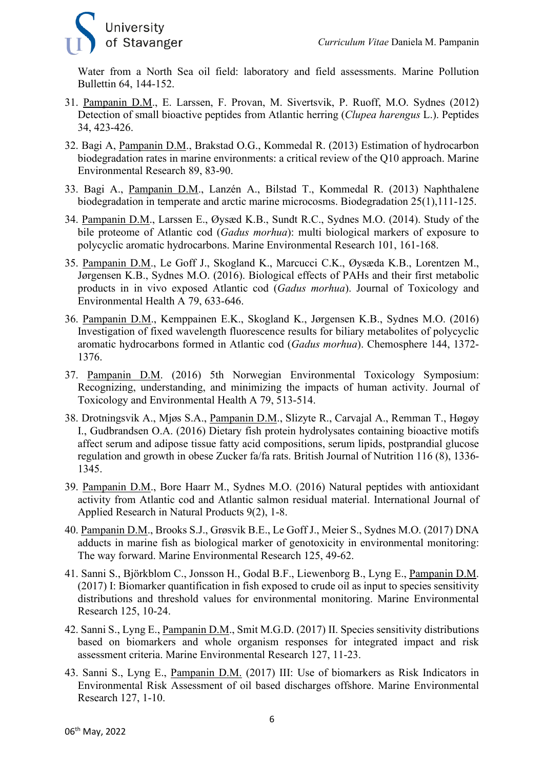

Water from a North Sea oil field: laboratory and field assessments. Marine Pollution Bullettin 64, 144-152.

- 31. Pampanin D.M., E. Larssen, F. Provan, M. Sivertsvik, P. Ruoff, M.O. Sydnes (2012) Detection of small bioactive peptides from Atlantic herring (*Clupea harengus* L.). Peptides 34, 423-426.
- 32. Bagi A, Pampanin D.M., Brakstad O.G., Kommedal R. (2013) Estimation of hydrocarbon biodegradation rates in marine environments: a critical review of the Q10 approach. Marine Environmental Research 89, 83-90.
- 33. Bagi A., Pampanin D.M., Lanzén A., Bilstad T., Kommedal R. (2013) Naphthalene biodegradation in temperate and arctic marine microcosms. Biodegradation 25(1),111-125.
- 34. Pampanin D.M., Larssen E., Øysæd K.B., Sundt R.C., Sydnes M.O. (2014). Study of the bile proteome of Atlantic cod (*Gadus morhua*): multi biological markers of exposure to polycyclic aromatic hydrocarbons. Marine Environmental Research 101, 161-168.
- 35. Pampanin D.M., Le Goff J., Skogland K., Marcucci C.K., Øysæda K.B., Lorentzen M., Jørgensen K.B., Sydnes M.O. (2016). Biological effects of PAHs and their first metabolic products in in vivo exposed Atlantic cod (*Gadus morhua*). Journal of Toxicology and Environmental Health A 79, 633-646.
- 36. Pampanin D.M., Kemppainen E.K., Skogland K., Jørgensen K.B., Sydnes M.O. (2016) Investigation of fixed wavelength fluorescence results for biliary metabolites of polycyclic aromatic hydrocarbons formed in Atlantic cod (*Gadus morhua*). Chemosphere 144, 1372- 1376.
- 37. Pampanin D.M. (2016) 5th Norwegian Environmental Toxicology Symposium: Recognizing, understanding, and minimizing the impacts of human activity. Journal of Toxicology and Environmental Health A 79, 513-514.
- 38. Drotningsvik A., Mjøs S.A., Pampanin D.M., Slizyte R., Carvajal A., Remman T., Høgøy I., Gudbrandsen O.A. (2016) Dietary fish protein hydrolysates containing bioactive motifs affect serum and adipose tissue fatty acid compositions, serum lipids, postprandial glucose regulation and growth in obese Zucker fa/fa rats. British Journal of Nutrition 116 (8), 1336- 1345.
- 39. Pampanin D.M., Bore Haarr M., Sydnes M.O. (2016) Natural peptides with antioxidant activity from Atlantic cod and Atlantic salmon residual material. International Journal of Applied Research in Natural Products 9(2), 1-8.
- 40. Pampanin D.M., Brooks S.J., Grøsvik B.E., Le Goff J., Meier S., Sydnes M.O. (2017) DNA adducts in marine fish as biological marker of genotoxicity in environmental monitoring: The way forward. Marine Environmental Research 125, 49-62.
- 41. Sanni S., Björkblom C., Jonsson H., Godal B.F., Liewenborg B., Lyng E., Pampanin D.M. (2017) I: Biomarker quantification in fish exposed to crude oil as input to species sensitivity distributions and threshold values for environmental monitoring. Marine Environmental Research 125, 10-24.
- 42. Sanni S., Lyng E., Pampanin D.M., Smit M.G.D. (2017) II. Species sensitivity distributions based on biomarkers and whole organism responses for integrated impact and risk assessment criteria. Marine Environmental Research 127, 11-23.
- 43. Sanni S., Lyng E., Pampanin D.M. (2017) III: Use of biomarkers as Risk Indicators in Environmental Risk Assessment of oil based discharges offshore. Marine Environmental Research 127, 1-10.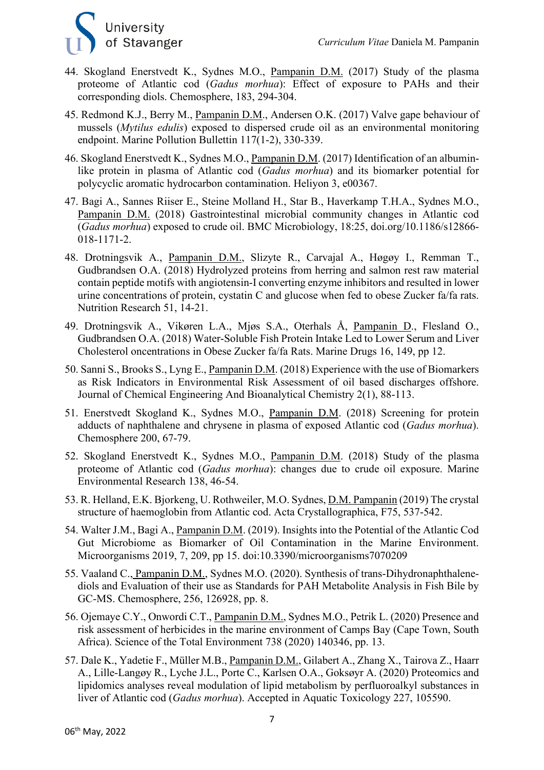

- 44. Skogland Enerstvedt K., Sydnes M.O., Pampanin D.M. (2017) Study of the plasma proteome of Atlantic cod (*Gadus morhua*): Effect of exposure to PAHs and their corresponding diols. Chemosphere, 183, 294-304.
- 45. Redmond K.J., Berry M., Pampanin D.M., Andersen O.K. (2017) Valve gape behaviour of mussels (*Mytilus edulis*) exposed to dispersed crude oil as an environmental monitoring endpoint. Marine Pollution Bullettin 117(1-2), 330-339.
- 46. Skogland Enerstvedt K., Sydnes M.O., Pampanin D.M. (2017) Identification of an albuminlike protein in plasma of Atlantic cod (*Gadus morhua*) and its biomarker potential for polycyclic aromatic hydrocarbon contamination. Heliyon 3, e00367.
- 47. Bagi A., Sannes Riiser E., Steine Molland H., Star B., Haverkamp T.H.A., Sydnes M.O., Pampanin D.M. (2018) Gastrointestinal microbial community changes in Atlantic cod (*Gadus morhua*) exposed to crude oil. BMC Microbiology, 18:25, doi.org/10.1186/s12866- 018-1171-2.
- 48. Drotningsvik A., Pampanin D.M., Slizyte R., Carvajal A., Høgøy I., Remman T., Gudbrandsen O.A. (2018) Hydrolyzed proteins from herring and salmon rest raw material contain peptide motifs with angiotensin-I converting enzyme inhibitors and resulted in lower urine concentrations of protein, cystatin C and glucose when fed to obese Zucker fa/fa rats. Nutrition Research 51, 14-21.
- 49. Drotningsvik A., Vikøren L.A., Mjøs S.A., Oterhals Å, Pampanin D., Flesland O., Gudbrandsen O.A. (2018) Water-Soluble Fish Protein Intake Led to Lower Serum and Liver Cholesterol oncentrations in Obese Zucker fa/fa Rats. Marine Drugs 16, 149, pp 12.
- 50. Sanni S., Brooks S., Lyng E., Pampanin D.M. (2018) Experience with the use of Biomarkers as Risk Indicators in Environmental Risk Assessment of oil based discharges offshore. Journal of Chemical Engineering And Bioanalytical Chemistry 2(1), 88-113.
- 51. Enerstvedt Skogland K., Sydnes M.O., Pampanin D.M. (2018) Screening for protein adducts of naphthalene and chrysene in plasma of exposed Atlantic cod (*Gadus morhua*). Chemosphere 200, 67-79.
- 52. Skogland Enerstvedt K., Sydnes M.O., Pampanin D.M. (2018) Study of the plasma proteome of Atlantic cod (*Gadus morhua*): changes due to crude oil exposure. Marine Environmental Research 138, 46-54.
- 53. R. Helland, E.K. Bjorkeng, U. Rothweiler, M.O. Sydnes, D.M. Pampanin (2019) The crystal structure of haemoglobin from Atlantic cod. Acta Crystallographica, F75, 537-542.
- 54. Walter J.M., Bagi A., Pampanin D.M. (2019). Insights into the Potential of the Atlantic Cod Gut Microbiome as Biomarker of Oil Contamination in the Marine Environment. Microorganisms 2019, 7, 209, pp 15. doi:10.3390/microorganisms7070209
- 55. Vaaland C., Pampanin D.M., Sydnes M.O. (2020). Synthesis of trans-Dihydronaphthalenediols and Evaluation of their use as Standards for PAH Metabolite Analysis in Fish Bile by GC-MS. Chemosphere, 256, 126928, pp. 8.
- 56. Ojemaye C.Y., Onwordi C.T., Pampanin D.M., Sydnes M.O., Petrik L. (2020) Presence and risk assessment of herbicides in the marine environment of Camps Bay (Cape Town, South Africa). Science of the Total Environment 738 (2020) 140346, pp. 13.
- 57. Dale K., Yadetie F., Müller M.B., Pampanin D.M., Gilabert A., Zhang X., Tairova Z., Haarr A., Lille-Langøy R., Lyche J.L., Porte C., Karlsen O.A., Goksøyr A. (2020) Proteomics and lipidomics analyses reveal modulation of lipid metabolism by perfluoroalkyl substances in liver of Atlantic cod (*Gadus morhua*). Accepted in Aquatic Toxicology 227, 105590.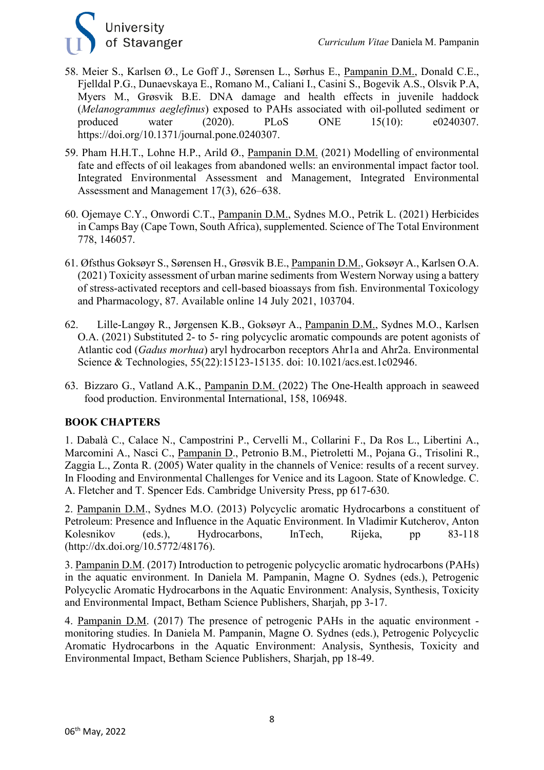

- 58. Meier S., Karlsen Ø., Le Goff J., Sørensen L., Sørhus E., Pampanin D.M., Donald C.E., Fjelldal P.G., Dunaevskaya E., Romano M., Caliani I., Casini S., Bogevik A.S., Olsvik P.A, Myers M., Grøsvik B.E. DNA damage and health effects in juvenile haddock (*Melanogrammus aeglefinus*) exposed to PAHs associated with oil-polluted sediment or produced water (2020). PLoS ONE 15(10): e0240307. https://doi.org/10.1371/journal.pone.0240307.
- 59. Pham H.H.T., Lohne H.P., Arild Ø., Pampanin D.M. (2021) Modelling of environmental fate and effects of oil leakages from abandoned wells: an environmental impact factor tool. Integrated Environmental Assessment and Management, Integrated Environmental Assessment and Management 17(3), 626–638.
- 60. Ojemaye C.Y., Onwordi C.T., Pampanin D.M., Sydnes M.O., Petrik L. (2021) Herbicides in Camps Bay (Cape Town, South Africa), supplemented. Science of The Total Environment 778, 146057.
- 61. Øfsthus Goksøyr S., Sørensen H., Grøsvik B.E., Pampanin D.M., Goksøyr A., Karlsen O.A. (2021) Toxicity assessment of urban marine sediments from Western Norway using a battery of stress-activated receptors and cell-based bioassays from fish. Environmental Toxicology and Pharmacology, 87. Available online 14 July 2021, 103704.
- 62. Lille-Langøy R., Jørgensen K.B., Goksøyr A., Pampanin D.M., Sydnes M.O., Karlsen O.A. (2021) Substituted 2- to 5- ring polycyclic aromatic compounds are potent agonists of Atlantic cod (*Gadus morhua*) aryl hydrocarbon receptors Ahr1a and Ahr2a. Environmental Science & Technologies, 55(22):15123-15135. doi: 10.1021/acs.est.1c02946.
- 63. Bizzaro G., Vatland A.K., Pampanin D.M. (2022) The One-Health approach in seaweed food production. Environmental International, 158, 106948.

#### **BOOK CHAPTERS**

1. Dabalà C., Calace N., Campostrini P., Cervelli M., Collarini F., Da Ros L., Libertini A., Marcomini A., Nasci C., Pampanin D., Petronio B.M., Pietroletti M., Pojana G., Trisolini R., Zaggia L., Zonta R. (2005) Water quality in the channels of Venice: results of a recent survey. In Flooding and Environmental Challenges for Venice and its Lagoon. State of Knowledge. C. A. Fletcher and T. Spencer Eds. Cambridge University Press, pp 617-630.

2. Pampanin D.M., Sydnes M.O. (2013) Polycyclic aromatic Hydrocarbons a constituent of Petroleum: Presence and Influence in the Aquatic Environment. In Vladimir Kutcherov, Anton Kolesnikov (eds.), Hydrocarbons, InTech, Rijeka, pp 83-118 (http://dx.doi.org/10.5772/48176).

3. Pampanin D.M. (2017) Introduction to petrogenic polycyclic aromatic hydrocarbons (PAHs) in the aquatic environment. In Daniela M. Pampanin, Magne O. Sydnes (eds.), Petrogenic Polycyclic Aromatic Hydrocarbons in the Aquatic Environment: Analysis, Synthesis, Toxicity and Environmental Impact, Betham Science Publishers, Sharjah, pp 3-17.

4. Pampanin D.M. (2017) The presence of petrogenic PAHs in the aquatic environment monitoring studies. In Daniela M. Pampanin, Magne O. Sydnes (eds.), Petrogenic Polycyclic Aromatic Hydrocarbons in the Aquatic Environment: Analysis, Synthesis, Toxicity and Environmental Impact, Betham Science Publishers, Sharjah, pp 18-49.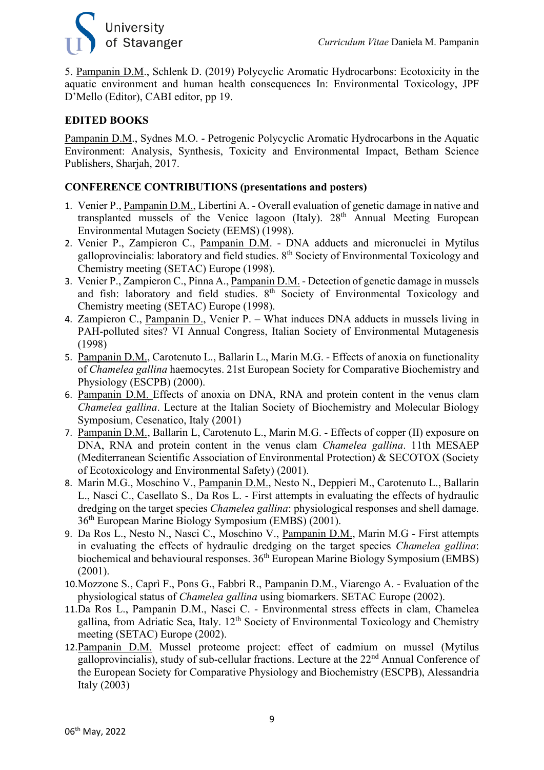

5. Pampanin D.M., Schlenk D. (2019) Polycyclic Aromatic Hydrocarbons: Ecotoxicity in the aquatic environment and human health consequences In: Environmental Toxicology, JPF D'Mello (Editor), CABI editor, pp 19.

#### **EDITED BOOKS**

Pampanin D.M., Sydnes M.O. - Petrogenic Polycyclic Aromatic Hydrocarbons in the Aquatic Environment: Analysis, Synthesis, Toxicity and Environmental Impact, Betham Science Publishers, Sharjah, 2017.

#### **CONFERENCE CONTRIBUTIONS (presentations and posters)**

- 1. Venier P., Pampanin D.M., Libertini A. Overall evaluation of genetic damage in native and transplanted mussels of the Venice lagoon (Italy).  $28<sup>th</sup>$  Annual Meeting European Environmental Mutagen Society (EEMS) (1998).
- 2. Venier P., Zampieron C., Pampanin D.M. DNA adducts and micronuclei in Mytilus galloprovincialis: laboratory and field studies. 8th Society of Environmental Toxicology and Chemistry meeting (SETAC) Europe (1998).
- 3. Venier P., Zampieron C., Pinna A., Pampanin D.M. Detection of genetic damage in mussels and fish: laboratory and field studies.  $8<sup>th</sup>$  Society of Environmental Toxicology and Chemistry meeting (SETAC) Europe (1998).
- 4. Zampieron C., Pampanin D., Venier P. What induces DNA adducts in mussels living in PAH-polluted sites? VI Annual Congress, Italian Society of Environmental Mutagenesis (1998)
- 5. Pampanin D.M., Carotenuto L., Ballarin L., Marin M.G. Effects of anoxia on functionality of *Chamelea gallina* haemocytes. 21st European Society for Comparative Biochemistry and Physiology (ESCPB) (2000).
- 6. Pampanin D.M. Effects of anoxia on DNA, RNA and protein content in the venus clam *Chamelea gallina*. Lecture at the Italian Society of Biochemistry and Molecular Biology Symposium, Cesenatico, Italy (2001)
- 7. Pampanin D.M., Ballarin L, Carotenuto L., Marin M.G. Effects of copper (II) exposure on DNA, RNA and protein content in the venus clam *Chamelea gallina*. 11th MESAEP (Mediterranean Scientific Association of Environmental Protection) & SECOTOX (Society of Ecotoxicology and Environmental Safety) (2001).
- 8. Marin M.G., Moschino V., Pampanin D.M., Nesto N., Deppieri M., Carotenuto L., Ballarin L., Nasci C., Casellato S., Da Ros L. - First attempts in evaluating the effects of hydraulic dredging on the target species *Chamelea gallina*: physiological responses and shell damage. 36th European Marine Biology Symposium (EMBS) (2001).
- 9. Da Ros L., Nesto N., Nasci C., Moschino V., Pampanin D.M., Marin M.G First attempts in evaluating the effects of hydraulic dredging on the target species *Chamelea gallina*: biochemical and behavioural responses.  $36<sup>th</sup>$  European Marine Biology Symposium (EMBS) (2001).
- 10.Mozzone S., Caprì F., Pons G., Fabbri R., Pampanin D.M., Viarengo A. Evaluation of the physiological status of *Chamelea gallina* using biomarkers. SETAC Europe (2002).
- 11.Da Ros L., Pampanin D.M., Nasci C. Environmental stress effects in clam, Chamelea gallina, from Adriatic Sea, Italy. 12<sup>th</sup> Society of Environmental Toxicology and Chemistry meeting (SETAC) Europe (2002).
- 12. Pampanin D.M. Mussel proteome project: effect of cadmium on mussel (Mytilus galloprovincialis), study of sub-cellular fractions. Lecture at the  $22<sup>nd</sup>$  Annual Conference of the European Society for Comparative Physiology and Biochemistry (ESCPB), Alessandria Italy (2003)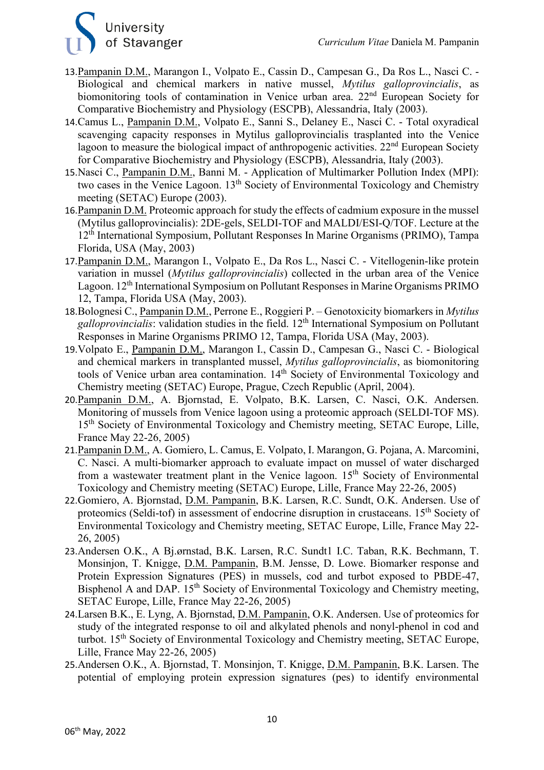

- 13.Pampanin D.M., Marangon I., Volpato E., Cassin D., Campesan G., Da Ros L., Nasci C. Biological and chemical markers in native mussel, *Mytilus galloprovincialis*, as biomonitoring tools of contamination in Venice urban area. 22<sup>nd</sup> European Society for Comparative Biochemistry and Physiology (ESCPB), Alessandria, Italy (2003).
- 14.Camus L., Pampanin D.M., Volpato E., Sanni S., Delaney E., Nasci C. Total oxyradical scavenging capacity responses in Mytilus galloprovincialis trasplanted into the Venice lagoon to measure the biological impact of anthropogenic activities.  $22<sup>nd</sup>$  European Society for Comparative Biochemistry and Physiology (ESCPB), Alessandria, Italy (2003).
- 15.Nasci C., Pampanin D.M., Banni M. Application of Multimarker Pollution Index (MPI): two cases in the Venice Lagoon.  $13<sup>th</sup>$  Society of Environmental Toxicology and Chemistry meeting (SETAC) Europe (2003).
- 16.Pampanin D.M. Proteomic approach for study the effects of cadmium exposure in the mussel (Mytilus galloprovincialis): 2DE-gels, SELDI-TOF and MALDI/ESI-Q/TOF. Lecture at the 12th International Symposium, Pollutant Responses In Marine Organisms (PRIMO), Tampa Florida, USA (May, 2003)
- 17.Pampanin D.M., Marangon I., Volpato E., Da Ros L., Nasci C. Vitellogenin-like protein variation in mussel (*Mytilus galloprovincialis*) collected in the urban area of the Venice Lagoon. 12<sup>th</sup> International Symposium on Pollutant Responses in Marine Organisms PRIMO 12, Tampa, Florida USA (May, 2003).
- 18.Bolognesi C., Pampanin D.M., Perrone E., Roggieri P. Genotoxicity biomarkers in *Mytilus galloprovincialis*: validation studies in the field. 12th International Symposium on Pollutant Responses in Marine Organisms PRIMO 12, Tampa, Florida USA (May, 2003).
- 19.Volpato E., Pampanin D.M., Marangon I., Cassin D., Campesan G., Nasci C. Biological and chemical markers in transplanted mussel, *Mytilus galloprovincialis*, as biomonitoring tools of Venice urban area contamination. 14<sup>th</sup> Society of Environmental Toxicology and Chemistry meeting (SETAC) Europe, Prague, Czech Republic (April, 2004).
- 20.Pampanin D.M., A. Bjornstad, E. Volpato, B.K. Larsen, C. Nasci, O.K. Andersen. Monitoring of mussels from Venice lagoon using a proteomic approach (SELDI-TOF MS). 15<sup>th</sup> Society of Environmental Toxicology and Chemistry meeting, SETAC Europe, Lille, France May 22-26, 2005)
- 21.Pampanin D.M., A. Gomiero, L. Camus, E. Volpato, I. Marangon, G. Pojana, A. Marcomini, C. Nasci. A multi-biomarker approach to evaluate impact on mussel of water discharged from a wastewater treatment plant in the Venice lagoon. 15<sup>th</sup> Society of Environmental Toxicology and Chemistry meeting (SETAC) Europe, Lille, France May 22-26, 2005)
- 22.Gomiero, A. Bjornstad, D.M. Pampanin, B.K. Larsen, R.C. Sundt, O.K. Andersen. Use of proteomics (Seldi-tof) in assessment of endocrine disruption in crustaceans. 15<sup>th</sup> Society of Environmental Toxicology and Chemistry meeting, SETAC Europe, Lille, France May 22- 26, 2005)
- 23.Andersen O.K., A Bj.ørnstad, B.K. Larsen, R.C. Sundt1 I.C. Taban, R.K. Bechmann, T. Monsinjon, T. Knigge, D.M. Pampanin, B.M. Jensse, D. Lowe. Biomarker response and Protein Expression Signatures (PES) in mussels, cod and turbot exposed to PBDE-47, Bisphenol A and DAP. 15<sup>th</sup> Society of Environmental Toxicology and Chemistry meeting, SETAC Europe, Lille, France May 22-26, 2005)
- 24.Larsen B.K., E. Lyng, A. Bjornstad, D.M. Pampanin, O.K. Andersen. Use of proteomics for study of the integrated response to oil and alkylated phenols and nonyl-phenol in cod and turbot. 15<sup>th</sup> Society of Environmental Toxicology and Chemistry meeting, SETAC Europe, Lille, France May 22-26, 2005)
- 25.Andersen O.K., A. Bjornstad, T. Monsinjon, T. Knigge, D.M. Pampanin, B.K. Larsen. The potential of employing protein expression signatures (pes) to identify environmental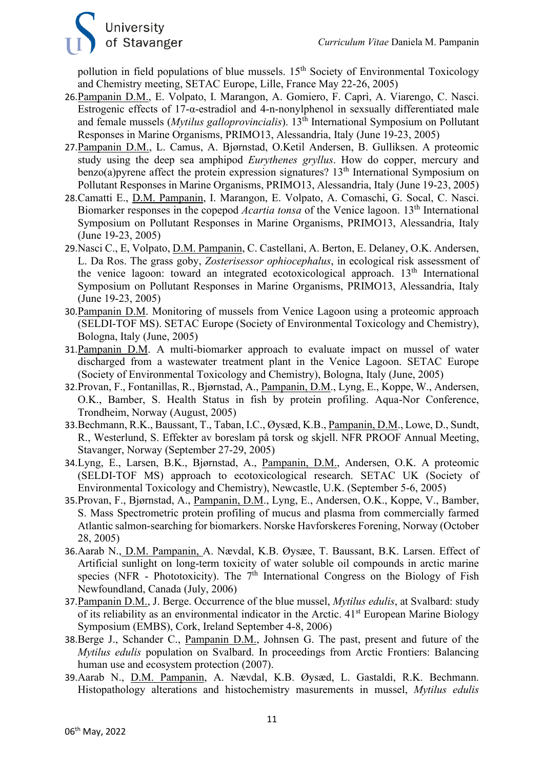

pollution in field populations of blue mussels. 15<sup>th</sup> Society of Environmental Toxicology and Chemistry meeting, SETAC Europe, Lille, France May 22-26, 2005)

- 26.Pampanin D.M., E. Volpato, I. Marangon, A. Gomiero, F. Caprì, A. Viarengo, C. Nasci. Estrogenic effects of 17-α-estradiol and 4-n-nonylphenol in sexsually differentiated male and female mussels (*Mytilus galloprovincialis*). 13th International Symposium on Pollutant Responses in Marine Organisms, PRIMO13, Alessandria, Italy (June 19-23, 2005)
- 27.Pampanin D.M., L. Camus, A. Bjørnstad, O.Ketil Andersen, B. Gulliksen. A proteomic study using the deep sea amphipod *Eurythenes gryllus*. How do copper, mercury and benzo(a) pyrene affect the protein expression signatures?  $13<sup>th</sup>$  International Symposium on Pollutant Responses in Marine Organisms, PRIMO13, Alessandria, Italy (June 19-23, 2005)
- 28.Camatti E., D.M. Pampanin, I. Marangon, E. Volpato, A. Comaschi, G. Socal, C. Nasci. Biomarker responses in the copepod *Acartia tonsa* of the Venice lagoon. 13th International Symposium on Pollutant Responses in Marine Organisms, PRIMO13, Alessandria, Italy (June 19-23, 2005)
- 29.Nasci C., E, Volpato, D.M. Pampanin, C. Castellani, A. Berton, E. Delaney, O.K. Andersen, L. Da Ros. The grass goby, *Zosterisessor ophiocephalus*, in ecological risk assessment of the venice lagoon: toward an integrated ecotoxicological approach.  $13<sup>th</sup>$  International Symposium on Pollutant Responses in Marine Organisms, PRIMO13, Alessandria, Italy (June 19-23, 2005)
- 30.Pampanin D.M. Monitoring of mussels from Venice Lagoon using a proteomic approach (SELDI-TOF MS). SETAC Europe (Society of Environmental Toxicology and Chemistry), Bologna, Italy (June, 2005)
- 31.Pampanin D.M. A multi-biomarker approach to evaluate impact on mussel of water discharged from a wastewater treatment plant in the Venice Lagoon. SETAC Europe (Society of Environmental Toxicology and Chemistry), Bologna, Italy (June, 2005)
- 32.Provan, F., Fontanillas, R., Bjørnstad, A., Pampanin, D.M., Lyng, E., Koppe, W., Andersen, O.K., Bamber, S. Health Status in fish by protein profiling. Aqua-Nor Conference, Trondheim, Norway (August, 2005)
- 33.Bechmann, R.K., Baussant, T., Taban, I.C., Øysæd, K.B., Pampanin, D.M., Lowe, D., Sundt, R., Westerlund, S. Effekter av boreslam på torsk og skjell. NFR PROOF Annual Meeting, Stavanger, Norway (September 27-29, 2005)
- 34.Lyng, E., Larsen, B.K., Bjørnstad, A., Pampanin, D.M., Andersen, O.K. A proteomic (SELDI-TOF MS) approach to ecotoxicological research. SETAC UK (Society of Environmental Toxicology and Chemistry), Newcastle, U.K. (September 5-6, 2005)
- 35.Provan, F., Bjørnstad, A., Pampanin, D.M., Lyng, E., Andersen, O.K., Koppe, V., Bamber, S. Mass Spectrometric protein profiling of mucus and plasma from commercially farmed Atlantic salmon-searching for biomarkers. Norske Havforskeres Forening, Norway (October 28, 2005)
- 36.Aarab N., D.M. Pampanin, A. Nævdal, K.B. Øysæe, T. Baussant, B.K. Larsen. Effect of Artificial sunlight on long-term toxicity of water soluble oil compounds in arctic marine species (NFR - Phototoxicity). The  $7<sup>th</sup>$  International Congress on the Biology of Fish Newfoundland, Canada (July, 2006)
- 37.Pampanin D.M., J. Berge. Occurrence of the blue mussel, *Mytilus edulis*, at Svalbard: study of its reliability as an environmental indicator in the Arctic.  $41<sup>st</sup>$  European Marine Biology Symposium (EMBS), Cork, Ireland September 4-8, 2006)
- 38.Berge J., Schander C., Pampanin D.M., Johnsen G. The past, present and future of the *Mytilus edulis* population on Svalbard. In proceedings from Arctic Frontiers: Balancing human use and ecosystem protection (2007).
- 39.Aarab N., D.M. Pampanin, A. Nævdal, K.B. Øysæd, L. Gastaldi, R.K. Bechmann. Histopathology alterations and histochemistry masurements in mussel, *Mytilus edulis*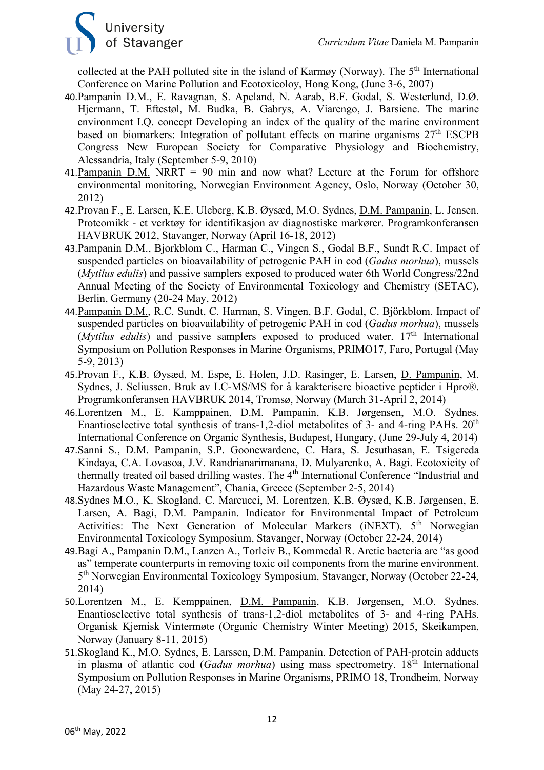

collected at the PAH polluted site in the island of Karmøy (Norway). The 5<sup>th</sup> International Conference on Marine Pollution and Ecotoxicoloy, Hong Kong, (June 3-6, 2007)

- 40.Pampanin D.M., E. Ravagnan, S. Apeland, N. Aarab, B.F. Godal, S. Westerlund, D.Ø. Hjermann, T. Eftestøl, M. Budka, B. Gabrys, A. Viarengo, J. Barsiene. The marine environment I.Q. concept Developing an index of the quality of the marine environment based on biomarkers: Integration of pollutant effects on marine organisms 27<sup>th</sup> ESCPB Congress New European Society for Comparative Physiology and Biochemistry, Alessandria, Italy (September 5-9, 2010)
- 41. Pampanin D.M. NRRT = 90 min and now what? Lecture at the Forum for offshore environmental monitoring, Norwegian Environment Agency, Oslo, Norway (October 30, 2012)
- 42.Provan F., E. Larsen, K.E. Uleberg, K.B. Øysæd, M.O. Sydnes, D.M. Pampanin, L. Jensen. Proteomikk - et verktøy for identifikasjon av diagnostiske markører. Programkonferansen HAVBRUK 2012, Stavanger, Norway (April 16-18, 2012)
- 43.Pampanin D.M., Bjorkblom C., Harman C., Vingen S., Godal B.F., Sundt R.C. Impact of suspended particles on bioavailability of petrogenic PAH in cod (*Gadus morhua*), mussels (*Mytilus edulis*) and passive samplers exposed to produced water 6th World Congress/22nd Annual Meeting of the Society of Environmental Toxicology and Chemistry (SETAC), Berlin, Germany (20-24 May, 2012)
- 44.Pampanin D.M., R.C. Sundt, C. Harman, S. Vingen, B.F. Godal, C. Björkblom. Impact of suspended particles on bioavailability of petrogenic PAH in cod (*Gadus morhua*), mussels  $(Mvtilus)$  and passive samplers exposed to produced water.  $17<sup>th</sup>$  International Symposium on Pollution Responses in Marine Organisms, PRIMO17, Faro, Portugal (May 5-9, 2013)
- 45.Provan F., K.B. Øysæd, M. Espe, E. Holen, J.D. Rasinger, E. Larsen, D. Pampanin, M. Sydnes, J. Seliussen. Bruk av LC-MS/MS for å karakterisere bioactive peptider i Hpro®. Programkonferansen HAVBRUK 2014, Tromsø, Norway (March 31-April 2, 2014)
- 46.Lorentzen M., E. Kamppainen, D.M. Pampanin, K.B. Jørgensen, M.O. Sydnes. Enantioselective total synthesis of trans-1,2-diol metabolites of 3- and 4-ring PAHs.  $20<sup>th</sup>$ International Conference on Organic Synthesis, Budapest, Hungary, (June 29-July 4, 2014)
- 47.Sanni S., D.M. Pampanin, S.P. Goonewardene, C. Hara, S. Jesuthasan, E. Tsigereda Kindaya, C.A. Lovasoa, J.V. Randrianarimanana, D. Mulyarenko, A. Bagi. Ecotoxicity of thermally treated oil based drilling wastes. The 4th International Conference "Industrial and Hazardous Waste Management", Chania, Greece (September 2-5, 2014)
- 48.Sydnes M.O., K. Skogland, C. Marcucci, M. Lorentzen, K.B. Øysæd, K.B. Jørgensen, E. Larsen, A. Bagi, D.M. Pampanin. Indicator for Environmental Impact of Petroleum Activities: The Next Generation of Molecular Markers (iNEXT). 5<sup>th</sup> Norwegian Environmental Toxicology Symposium, Stavanger, Norway (October 22-24, 2014)
- 49.Bagi A., Pampanin D.M., Lanzen A., Torleiv B., Kommedal R. Arctic bacteria are "as good as" temperate counterparts in removing toxic oil components from the marine environment. 5th Norwegian Environmental Toxicology Symposium, Stavanger, Norway (October 22-24, 2014)
- 50.Lorentzen M., E. Kemppainen, D.M. Pampanin, K.B. Jørgensen, M.O. Sydnes. Enantioselective total synthesis of trans-1,2-diol metabolites of 3- and 4-ring PAHs. Organisk Kjemisk Vintermøte (Organic Chemistry Winter Meeting) 2015, Skeikampen, Norway (January 8-11, 2015)
- 51.Skogland K., M.O. Sydnes, E. Larssen, D.M. Pampanin. Detection of PAH-protein adducts in plasma of atlantic cod (*Gadus morhua*) using mass spectrometry. 18<sup>th</sup> International Symposium on Pollution Responses in Marine Organisms, PRIMO 18, Trondheim, Norway (May 24-27, 2015)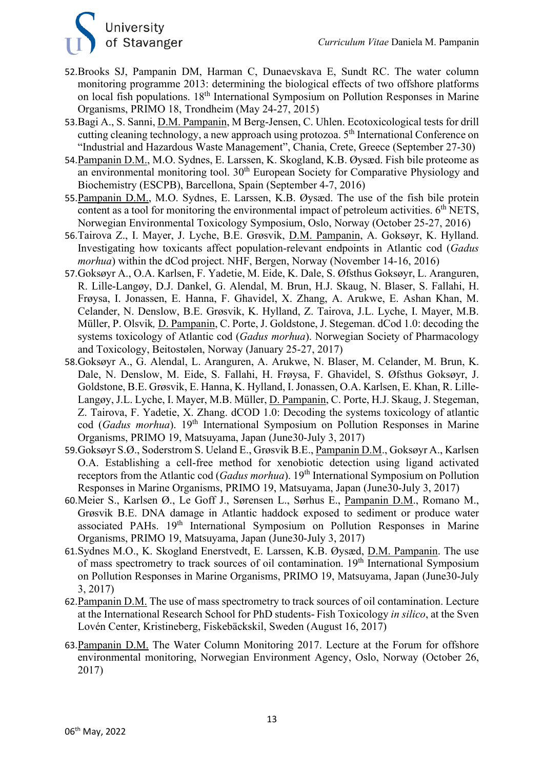

- 52.Brooks SJ, Pampanin DM, Harman C, Dunaevskava E, Sundt RC. The water column monitoring programme 2013: determining the biological effects of two offshore platforms on local fish populations. 18th International Symposium on Pollution Responses in Marine Organisms, PRIMO 18, Trondheim (May 24-27, 2015)
- 53.Bagi A., S. Sanni, D.M. Pampanin, M Berg-Jensen, C. Uhlen. Ecotoxicological tests for drill cutting cleaning technology, a new approach using protozoa.  $5<sup>th</sup>$  International Conference on "Industrial and Hazardous Waste Management", Chania, Crete, Greece (September 27-30)
- 54.Pampanin D.M., M.O. Sydnes, E. Larssen, K. Skogland, K.B. Øysæd. Fish bile proteome as an environmental monitoring tool.  $30<sup>th</sup>$  European Society for Comparative Physiology and Biochemistry (ESCPB), Barcellona, Spain (September 4-7, 2016)
- 55.Pampanin D.M., M.O. Sydnes, E. Larssen, K.B. Øysæd. The use of the fish bile protein content as a tool for monitoring the environmental impact of petroleum activities.  $6<sup>th</sup>$  NETS, Norwegian Environmental Toxicology Symposium, Oslo, Norway (October 25-27, 2016)
- 56.Tairova Z., I. Mayer, J. Lyche, B.E. Grøsvik, D.M. Pampanin, A. Goksøyr, K. Hylland. Investigating how toxicants affect population-relevant endpoints in Atlantic cod (*Gadus morhua*) within the dCod project. NHF, Bergen, Norway (November 14-16, 2016)
- 57.Goksøyr A., O.A. Karlsen, F. Yadetie, M. Eide, K. Dale, S. Øfsthus Goksøyr, L. Aranguren, R. Lille-Langøy, D.J. Dankel, G. Alendal, M. Brun, H.J. Skaug, N. Blaser, S. Fallahi, H. Frøysa, I. Jonassen, E. Hanna, F. Ghavidel, X. Zhang, A. Arukwe, E. Ashan Khan, M. Celander, N. Denslow, B.E. Grøsvik, K. Hylland, Z. Tairova, J.L. Lyche, I. Mayer, M.B. Müller, P. Olsvik*,* D. Pampanin, C. Porte, J. Goldstone, J. Stegeman. dCod 1.0: decoding the systems toxicology of Atlantic cod (*Gadus morhua*). Norwegian Society of Pharmacology and Toxicology, Beitostølen, Norway (January 25-27, 2017)
- 58.Goksøyr A., G. Alendal, L. Aranguren, A. Arukwe, N. Blaser, M. Celander, M. Brun, K. Dale, N. Denslow, M. Eide, S. Fallahi, H. Frøysa, F. Ghavidel, S. Øfsthus Goksøyr, J. Goldstone, B.E. Grøsvik, E. Hanna, K. Hylland, I. Jonassen, O.A. Karlsen, E. Khan, R. Lille-Langøy, J.L. Lyche, I. Mayer, M.B. Müller, D. Pampanin, C. Porte, H.J. Skaug, J. Stegeman, Z. Tairova, F. Yadetie, X. Zhang. dCOD 1.0: Decoding the systems toxicology of atlantic cod (*Gadus morhua*). 19<sup>th</sup> International Symposium on Pollution Responses in Marine Organisms, PRIMO 19, Matsuyama, Japan (June30-July 3, 2017)
- 59.Goksøyr S.Ø., Soderstrom S. Ueland E., Grøsvik B.E., Pampanin D.M., Goksøyr A., Karlsen O.A. Establishing a cell-free method for xenobiotic detection using ligand activated receptors from the Atlantic cod (*Gadus morhua*). 19<sup>th</sup> International Symposium on Pollution Responses in Marine Organisms, PRIMO 19, Matsuyama, Japan (June30-July 3, 2017)
- 60.Meier S., Karlsen Ø., Le Goff J., Sørensen L., Sørhus E., Pampanin D.M., Romano M., Grøsvik B.E. DNA damage in Atlantic haddock exposed to sediment or produce water associated PAHs. 19<sup>th</sup> International Symposium on Pollution Responses in Marine Organisms, PRIMO 19, Matsuyama, Japan (June30-July 3, 2017)
- 61.Sydnes M.O., K. Skogland Enerstvedt, E. Larssen, K.B. Øysæd, D.M. Pampanin. The use of mass spectrometry to track sources of oil contamination. 19<sup>th</sup> International Symposium on Pollution Responses in Marine Organisms, PRIMO 19, Matsuyama, Japan (June30-July 3, 2017)
- 62.Pampanin D.M. The use of mass spectrometry to track sources of oil contamination. Lecture at the International Research School for PhD students- Fish Toxicology *in silico*, at the Sven Lovén Center, Kristineberg, Fiskebäckskil, Sweden (August 16, 2017)
- 63.Pampanin D.M. The Water Column Monitoring 2017. Lecture at the Forum for offshore environmental monitoring, Norwegian Environment Agency, Oslo, Norway (October 26, 2017)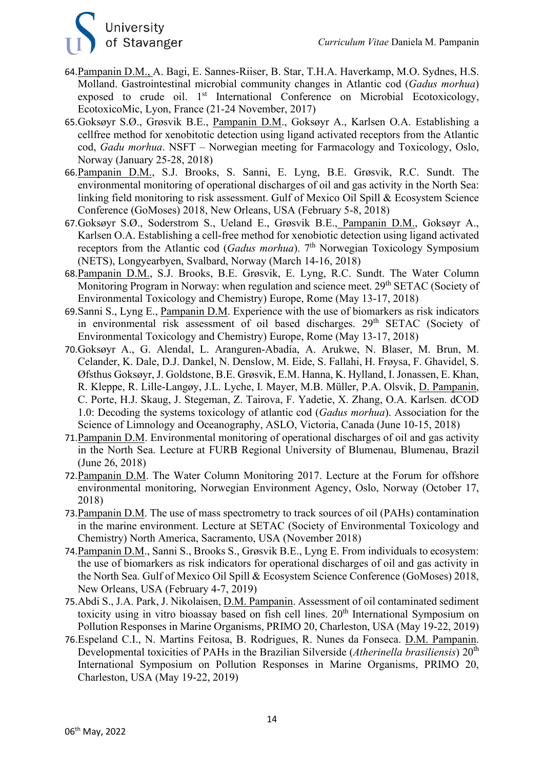

- 64.Pampanin D.M., A. Bagi, E. Sannes-Riiser, B. Star, T.H.A. Haverkamp, M.O. Sydnes, H.S. Molland. Gastrointestinal microbial community changes in Atlantic cod (*Gadus morhua*) exposed to crude oil.  $1<sup>st</sup>$  International Conference on Microbial Ecotoxicology, EcotoxicoMic, Lyon, France (21-24 November, 2017)
- 65.Goksøyr S.Ø., Grøsvik B.E., Pampanin D.M., Goksøyr A., Karlsen O.A. Establishing a cellfree method for xenobitotic detection using ligand activated receptors from the Atlantic cod, *Gadu morhua*. NSFT – Norwegian meeting for Farmacology and Toxicology, Oslo, Norway (January 25-28, 2018)
- 66.Pampanin D.M., S.J. Brooks, S. Sanni, E. Lyng, B.E. Grøsvik, R.C. Sundt. The environmental monitoring of operational discharges of oil and gas activity in the North Sea: linking field monitoring to risk assessment. Gulf of Mexico Oil Spill & Ecosystem Science Conference (GoMoses) 2018, New Orleans, USA (February 5-8, 2018)
- 67.Goksøyr S.Ø., Soderstrom S., Ueland E., Grøsvik B.E., Pampanin D.M., Goksøyr A., Karlsen O.A. Establishing a cell-free method for xenobiotic detection using ligand activated receptors from the Atlantic cod (*Gadus morhua*). 7<sup>th</sup> Norwegian Toxicology Symposium (NETS), Longyearbyen, Svalbard, Norway (March 14-16, 2018)
- 68.Pampanin D.M., S.J. Brooks, B.E. Grøsvik, E. Lyng, R.C. Sundt. The Water Column Monitoring Program in Norway: when regulation and science meet. 29<sup>th</sup> SETAC (Society of Environmental Toxicology and Chemistry) Europe, Rome (May 13-17, 2018)
- 69.Sanni S., Lyng E., Pampanin D.M. Experience with the use of biomarkers as risk indicators in environmental risk assessment of oil based discharges. 29<sup>th</sup> SETAC (Society of Environmental Toxicology and Chemistry) Europe, Rome (May 13-17, 2018)
- 70.Goksøyr A., G. Alendal, L. Aranguren-Abadía, A. Arukwe, N. Blaser, M. Brun, M. Celander, K. Dale, D.J. Dankel, N. Denslow, M. Eide, S. Fallahi, H. Frøysa, F. Ghavidel, S. Øfsthus Goksøyr, J. Goldstone, B.E. Grøsvik, E.M. Hanna, K. Hylland, I. Jonassen, E. Khan, R. Kleppe, R. Lille-Langøy, J.L. Lyche, I. Mayer, M.B. Müller, P.A. Olsvik, D. Pampanin, C. Porte, H.J. Skaug, J. Stegeman, Z. Tairova, F. Yadetie, X. Zhang, O.A. Karlsen. dCOD 1.0: Decoding the systems toxicology of atlantic cod (*Gadus morhua*). Association for the Science of Limnology and Oceanography, ASLO, Victoria, Canada (June 10-15, 2018)
- 71.Pampanin D.M. Environmental monitoring of operational discharges of oil and gas activity in the North Sea. Lecture at FURB Regional University of Blumenau, Blumenau, Brazil (June 26, 2018)
- 72.Pampanin D.M. The Water Column Monitoring 2017. Lecture at the Forum for offshore environmental monitoring, Norwegian Environment Agency, Oslo, Norway (October 17, 2018)
- 73.Pampanin D.M. The use of mass spectrometry to track sources of oil (PAHs) contamination in the marine environment. Lecture at SETAC (Society of Environmental Toxicology and Chemistry) North America, Sacramento, USA (November 2018)
- 74.Pampanin D.M., Sanni S., Brooks S., Grøsvik B.E., Lyng E. From individuals to ecosystem: the use of biomarkers as risk indicators for operational discharges of oil and gas activity in the North Sea. Gulf of Mexico Oil Spill & Ecosystem Science Conference (GoMoses) 2018, New Orleans, USA (February 4-7, 2019)
- 75.Abdi S., J.A. Park, J. Nikolaisen, D.M. Pampanin. Assessment of oil contaminated sediment toxicity using in vitro bioassay based on fish cell lines. 20<sup>th</sup> International Symposium on Pollution Responses in Marine Organisms, PRIMO 20, Charleston, USA (May 19-22, 2019)
- 76.Espeland C.I., N. Martins Feitosa, B. Rodrigues, R. Nunes da Fonseca. D.M. Pampanin. Developmental toxicities of PAHs in the Brazilian Silverside (*Atherinella brasiliensis*) 20<sup>th</sup> International Symposium on Pollution Responses in Marine Organisms, PRIMO 20, Charleston, USA (May 19-22, 2019)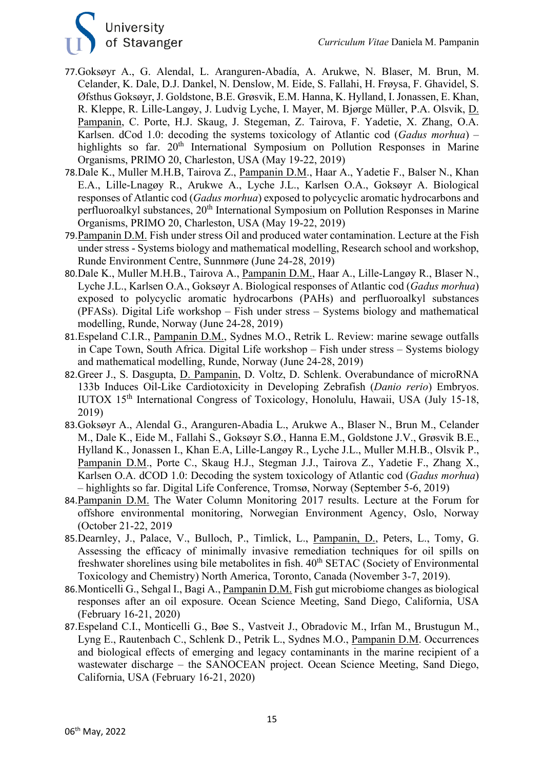

- 77.Goksøyr A., G. Alendal, L. Aranguren-Abadía, A. Arukwe, N. Blaser, M. Brun, M. Celander, K. Dale, D.J. Dankel, N. Denslow, M. Eide, S. Fallahi, H. Frøysa, F. Ghavidel, S. Øfsthus Goksøyr, J. Goldstone, B.E. Grøsvik, E.M. Hanna, K. Hylland, I. Jonassen, E. Khan, R. Kleppe, R. Lille-Langøy, J. Ludvig Lyche, I. Mayer, M. Bjørge Müller, P.A. Olsvik, D. Pampanin, C. Porte, H.J. Skaug, J. Stegeman, Z. Tairova, F. Yadetie, X. Zhang, O.A. Karlsen. dCod 1.0: decoding the systems toxicology of Atlantic cod (*Gadus morhua*) – highlights so far. 20<sup>th</sup> International Symposium on Pollution Responses in Marine Organisms, PRIMO 20, Charleston, USA (May 19-22, 2019)
- 78.Dale K., Muller M.H.B, Tairova Z., Pampanin D.M., Haar A., Yadetie F., Balser N., Khan E.A., Lille-Lnagøy R., Arukwe A., Lyche J.L., Karlsen O.A., Goksøyr A. Biological responses of Atlantic cod (*Gadus morhua*) exposed to polycyclic aromatic hydrocarbons and perfluoroalkyl substances, 20<sup>th</sup> International Symposium on Pollution Responses in Marine Organisms, PRIMO 20, Charleston, USA (May 19-22, 2019)
- 79.Pampanin D.M. Fish under stress Oil and produced water contamination. Lecture at the Fish under stress - Systems biology and mathematical modelling, Research school and workshop, Runde Environment Centre, Sunnmøre (June 24-28, 2019)
- 80.Dale K., Muller M.H.B., Tairova A., Pampanin D.M., Haar A., Lille-Langøy R., Blaser N., Lyche J.L., Karlsen O.A., Goksøyr A. Biological responses of Atlantic cod (*Gadus morhua*) exposed to polycyclic aromatic hydrocarbons (PAHs) and perfluoroalkyl substances (PFASs). Digital Life workshop – Fish under stress – Systems biology and mathematical modelling, Runde, Norway (June 24-28, 2019)
- 81.Espeland C.I.R., Pampanin D.M., Sydnes M.O., Retrik L. Review: marine sewage outfalls in Cape Town, South Africa. Digital Life workshop – Fish under stress – Systems biology and mathematical modelling, Runde, Norway (June 24-28, 2019)
- 82.Greer J., S. Dasgupta, D. Pampanin, D. Voltz, D. Schlenk. Overabundance of microRNA 133b Induces Oil-Like Cardiotoxicity in Developing Zebrafish (*Danio rerio*) Embryos. IUTOX 15th International Congress of Toxicology, Honolulu, Hawaii, USA (July 15-18, 2019)
- 83.Goksøyr A., Alendal G., Aranguren-Abadia L., Arukwe A., Blaser N., Brun M., Celander M., Dale K., Eide M., Fallahi S., Goksøyr S.Ø., Hanna E.M., Goldstone J.V., Grøsvik B.E., Hylland K., Jonassen I., Khan E.A, Lille-Langøy R., Lyche J.L., Muller M.H.B., Olsvik P., Pampanin D.M., Porte C., Skaug H.J., Stegman J.J., Tairova Z., Yadetie F., Zhang X., Karlsen O.A. dCOD 1.0: Decoding the system toxicology of Atlantic cod (*Gadus morhua*) – highlights so far. Digital Life Conference, Tromsø, Norway (September 5-6, 2019)
- 84.Pampanin D.M. The Water Column Monitoring 2017 results. Lecture at the Forum for offshore environmental monitoring, Norwegian Environment Agency, Oslo, Norway (October 21-22, 2019
- 85.Dearnley, J., Palace, V., Bulloch, P., Timlick, L., Pampanin, D., Peters, L., Tomy, G. Assessing the efficacy of minimally invasive remediation techniques for oil spills on freshwater shorelines using bile metabolites in fish.  $40^{th}$  SETAC (Society of Environmental Toxicology and Chemistry) North America, Toronto, Canada (November 3-7, 2019).
- 86.Monticelli G., Sehgal I., Bagi A., Pampanin D.M. Fish gut microbiome changes as biological responses after an oil exposure. Ocean Science Meeting, Sand Diego, California, USA (February 16-21, 2020)
- 87.Espeland C.I., Monticelli G., Bøe S., Vastveit J., Obradovic M., Irfan M., Brustugun M., Lyng E., Rautenbach C., Schlenk D., Petrik L., Sydnes M.O., Pampanin D.M. Occurrences and biological effects of emerging and legacy contaminants in the marine recipient of a wastewater discharge – the SANOCEAN project. Ocean Science Meeting, Sand Diego, California, USA (February 16-21, 2020)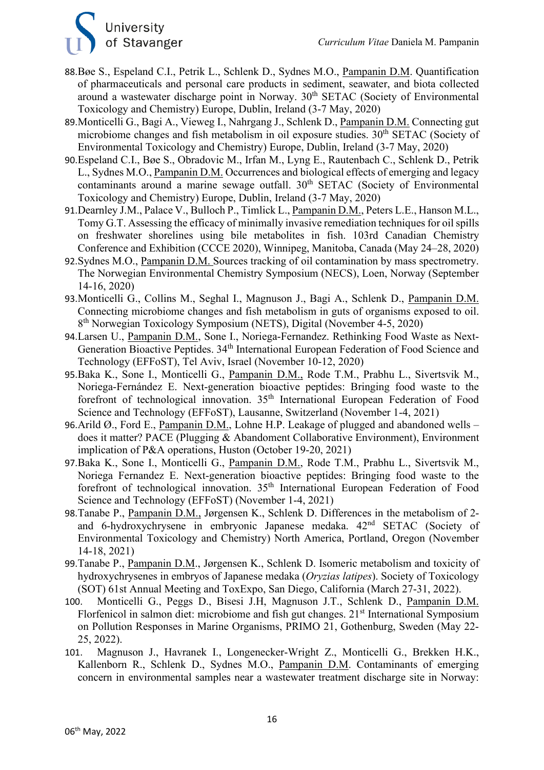# University<br>of Stavanger

- 88.Bøe S., Espeland C.I., Petrik L., Schlenk D., Sydnes M.O., Pampanin D.M. Quantification of pharmaceuticals and personal care products in sediment, seawater, and biota collected around a wastewater discharge point in Norway. 30<sup>th</sup> SETAC (Society of Environmental Toxicology and Chemistry) Europe, Dublin, Ireland (3-7 May, 2020)
- 89.Monticelli G., Bagi A., Vieweg I., Nahrgang J., Schlenk D., Pampanin D.M. Connecting gut microbiome changes and fish metabolism in oil exposure studies.  $30<sup>th</sup> SETAC$  (Society of Environmental Toxicology and Chemistry) Europe, Dublin, Ireland (3-7 May, 2020)
- 90.Espeland C.I., Bøe S., Obradovic M., Irfan M., Lyng E., Rautenbach C., Schlenk D., Petrik L., Sydnes M.O., Pampanin D.M. Occurrences and biological effects of emerging and legacy contaminants around a marine sewage outfall.  $30<sup>th</sup> SETAC$  (Society of Environmental Toxicology and Chemistry) Europe, Dublin, Ireland (3-7 May, 2020)
- 91. Dearnley J.M., Palace V., Bulloch P., Timlick L., Pampanin D.M., Peters L.E., Hanson M.L., Tomy G.T. Assessing the efficacy of minimally invasive remediation techniques for oil spills on freshwater shorelines using bile metabolites in fish. 103rd Canadian Chemistry Conference and Exhibition (CCCE 2020), Winnipeg, Manitoba, Canada (May 24–28, 2020)
- 92.Sydnes M.O., Pampanin D.M. Sources tracking of oil contamination by mass spectrometry. The Norwegian Environmental Chemistry Symposium (NECS), Loen, Norway (September 14-16, 2020)
- 93.Monticelli G., Collins M., Seghal I., Magnuson J., Bagi A., Schlenk D., Pampanin D.M. Connecting microbiome changes and fish metabolism in guts of organisms exposed to oil. 8th Norwegian Toxicology Symposium (NETS), Digital (November 4-5, 2020)
- 94.Larsen U., Pampanin D.M., Sone I., Noriega-Fernandez. Rethinking Food Waste as Next-Generation Bioactive Peptides. 34<sup>th</sup> International European Federation of Food Science and Technology (EFFoST), Tel Aviv, Israel (November 10-12, 2020)
- 95.Baka K., Sone I., Monticelli G., Pampanin D.M., Rode T.M., Prabhu L., Sivertsvik M., Noriega-Fernández E. Next-generation bioactive peptides: Bringing food waste to the forefront of technological innovation. 35th International European Federation of Food Science and Technology (EFFoST), Lausanne, Switzerland (November 1-4, 2021)
- 96.Arild Ø., Ford E., Pampanin D.M., Lohne H.P. Leakage of plugged and abandoned wells does it matter? PACE (Plugging & Abandoment Collaborative Environment), Environment implication of P&A operations, Huston (October 19-20, 2021)
- 97.Baka K., Sone I., Monticelli G., Pampanin D.M., Rode T.M., Prabhu L., Sivertsvik M., Noriega Fernandez E. Next-generation bioactive peptides: Bringing food waste to the forefront of technological innovation. 35th International European Federation of Food Science and Technology (EFFoST) (November 1-4, 2021)
- 98.Tanabe P., Pampanin D.M., Jørgensen K., Schlenk D. Differences in the metabolism of 2 and 6-hydroxychrysene in embryonic Japanese medaka. 42nd SETAC (Society of Environmental Toxicology and Chemistry) North America, Portland, Oregon (November 14-18, 2021)
- 99.Tanabe P., Pampanin D.M., Jørgensen K., Schlenk D. Isomeric metabolism and toxicity of hydroxychrysenes in embryos of Japanese medaka (*Oryzias latipes*). Society of Toxicology (SOT) 61st Annual Meeting and ToxExpo, San Diego, California (March 27-31, 2022).
- 100. Monticelli G., Peggs D., Bisesi J.H, Magnuson J.T., Schlenk D., Pampanin D.M. Florfenicol in salmon diet: microbiome and fish gut changes. 21<sup>st</sup> International Symposium on Pollution Responses in Marine Organisms, PRIMO 21, Gothenburg, Sweden (May 22- 25, 2022).
- 101. Magnuson J., Havranek I., Longenecker-Wright Z., Monticelli G., Brekken H.K., Kallenborn R., Schlenk D., Sydnes M.O., Pampanin D.M. Contaminants of emerging concern in environmental samples near a wastewater treatment discharge site in Norway: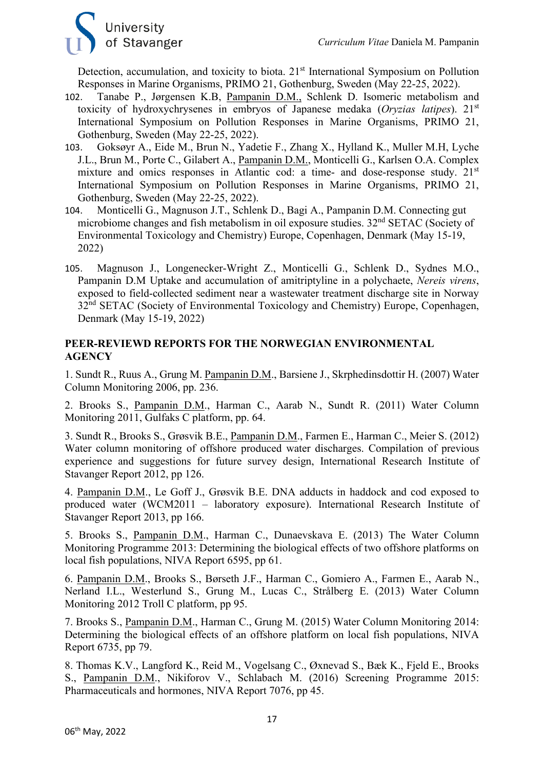

Detection, accumulation, and toxicity to biota. 21<sup>st</sup> International Symposium on Pollution Responses in Marine Organisms, PRIMO 21, Gothenburg, Sweden (May 22-25, 2022).

- 102. Tanabe P., Jørgensen K.B, Pampanin D.M., Schlenk D. Isomeric metabolism and toxicity of hydroxychrysenes in embryos of Japanese medaka (*Oryzias latipes*). 21st International Symposium on Pollution Responses in Marine Organisms, PRIMO 21, Gothenburg, Sweden (May 22-25, 2022).
- 103. Goksøyr A., Eide M., Brun N., Yadetie F., Zhang X., Hylland K., Muller M.H, Lyche J.L., Brun M., Porte C., Gilabert A., Pampanin D.M., Monticelli G., Karlsen O.A. Complex mixture and omics responses in Atlantic cod: a time- and dose-response study. 21<sup>st</sup> International Symposium on Pollution Responses in Marine Organisms, PRIMO 21, Gothenburg, Sweden (May 22-25, 2022).
- 104. Monticelli G., Magnuson J.T., Schlenk D., Bagi A., Pampanin D.M. Connecting gut microbiome changes and fish metabolism in oil exposure studies. 32nd SETAC (Society of Environmental Toxicology and Chemistry) Europe, Copenhagen, Denmark (May 15-19, 2022)
- 105. Magnuson J., Longenecker-Wright Z., Monticelli G., Schlenk D., Sydnes M.O., Pampanin D.M Uptake and accumulation of amitriptyline in a polychaete, *Nereis virens*, exposed to field-collected sediment near a wastewater treatment discharge site in Norway 32<sup>nd</sup> SETAC (Society of Environmental Toxicology and Chemistry) Europe, Copenhagen, Denmark (May 15-19, 2022)

#### **PEER-REVIEWD REPORTS FOR THE NORWEGIAN ENVIRONMENTAL AGENCY**

1. Sundt R., Ruus A., Grung M. Pampanin D.M., Barsiene J., Skrphedinsdottir H. (2007) Water Column Monitoring 2006, pp. 236.

2. Brooks S., Pampanin D.M., Harman C., Aarab N., Sundt R. (2011) Water Column Monitoring 2011, Gulfaks C platform, pp. 64.

3. Sundt R., Brooks S., Grøsvik B.E., Pampanin D.M., Farmen E., Harman C., Meier S. (2012) Water column monitoring of offshore produced water discharges. Compilation of previous experience and suggestions for future survey design, International Research Institute of Stavanger Report 2012, pp 126.

4. Pampanin D.M., Le Goff J., Grøsvik B.E. DNA adducts in haddock and cod exposed to produced water (WCM2011 – laboratory exposure). International Research Institute of Stavanger Report 2013, pp 166.

5. Brooks S., Pampanin D.M., Harman C., Dunaevskava E. (2013) The Water Column Monitoring Programme 2013: Determining the biological effects of two offshore platforms on local fish populations, NIVA Report 6595, pp 61.

6. Pampanin D.M., Brooks S., Børseth J.F., Harman C., Gomiero A., Farmen E., Aarab N., Nerland I.L., Westerlund S., Grung M., Lucas C., Strålberg E. (2013) Water Column Monitoring 2012 Troll C platform, pp 95.

7. Brooks S., Pampanin D.M., Harman C., Grung M. (2015) Water Column Monitoring 2014: Determining the biological effects of an offshore platform on local fish populations, NIVA Report 6735, pp 79.

8. Thomas K.V., Langford K., Reid M., Vogelsang C., Øxnevad S., Bæk K., Fjeld E., Brooks S., Pampanin D.M., Nikiforov V., Schlabach M. (2016) Screening Programme 2015: Pharmaceuticals and hormones, NIVA Report 7076, pp 45.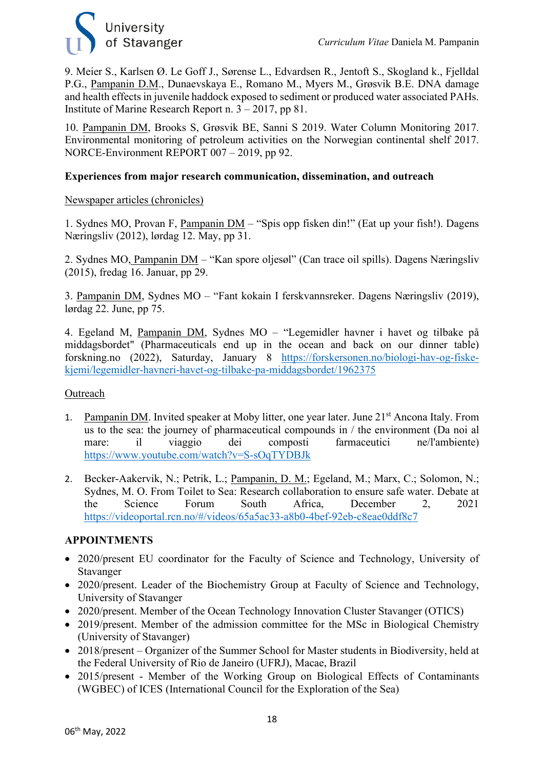

9. Meier S., Karlsen Ø. Le Goff J., Sørense L., Edvardsen R., Jentoft S., Skogland k., Fjelldal P.G., Pampanin D.M., Dunaevskaya E., Romano M., Myers M., Grøsvik B.E. DNA damage and health effects in juvenile haddock exposed to sediment or produced water associated PAHs. Institute of Marine Research Report n. 3 – 2017, pp 81.

10. Pampanin DM, Brooks S, Grøsvik BE, Sanni S 2019. Water Column Monitoring 2017. Environmental monitoring of petroleum activities on the Norwegian continental shelf 2017. NORCE-Environment REPORT 007 – 2019, pp 92.

#### **Experiences from major research communication, dissemination, and outreach**

#### Newspaper articles (chronicles)

1. Sydnes MO, Provan F, Pampanin DM – "Spis opp fisken din!" (Eat up your fish!). Dagens Næringsliv (2012), lørdag 12. May, pp 31.

2. Sydnes MO, Pampanin DM – "Kan spore oljesøl" (Can trace oil spills). Dagens Næringsliv (2015), fredag 16. Januar, pp 29.

3. Pampanin DM, Sydnes MO – "Fant kokain I ferskvannsreker. Dagens Næringsliv (2019), lørdag 22. June, pp 75.

4. Egeland M, Pampanin DM, Sydnes MO – "Legemidler havner i havet og tilbake på middagsbordet" (Pharmaceuticals end up in the ocean and back on our dinner table) forskning.no (2022), Saturday, January 8 [https://forskersonen.no/biologi-hav-og-fiske](https://forskersonen.no/biologi-hav-og-fiske-kjemi/legemidler-havneri-havet-og-tilbake-pa-middagsbordet/1962375)[kjemi/legemidler-havneri-havet-og-tilbake-pa-middagsbordet/1962375](https://forskersonen.no/biologi-hav-og-fiske-kjemi/legemidler-havneri-havet-og-tilbake-pa-middagsbordet/1962375)

#### Outreach

- 1. Pampanin DM. Invited speaker at Moby litter, one year later. June 21<sup>st</sup> Ancona Italy. From us to the sea: the journey of pharmaceutical compounds in / the environment (Da noi al mare: il viaggio dei composti farmaceutici ne/l'ambiente) <https://www.youtube.com/watch?v=S-sOqTYDBJk>
- 2. Becker-Aakervik, N.; Petrik, L.; Pampanin, D. M.; Egeland, M.; Marx, C.; Solomon, N.; Sydnes, M. O. From Toilet to Sea: Research collaboration to ensure safe water. Debate at the Science Forum South Africa, December 2, 2021 <https://videoportal.rcn.no/#/videos/65a5ac33-a8b0-4bef-92eb-c8eae0ddf8c7>

#### **APPOINTMENTS**

- 2020/present EU coordinator for the Faculty of Science and Technology, University of Stavanger
- 2020/present. Leader of the Biochemistry Group at Faculty of Science and Technology, University of Stavanger
- 2020/present. Member of the Ocean Technology Innovation Cluster Stavanger (OTICS)
- 2019/present. Member of the admission committee for the MSc in Biological Chemistry (University of Stavanger)
- 2018/present Organizer of the Summer School for Master students in Biodiversity, held at the Federal University of Rio de Janeiro (UFRJ), Macae, Brazil
- 2015/present Member of the Working Group on Biological Effects of Contaminants (WGBEC) of ICES (International Council for the Exploration of the Sea)